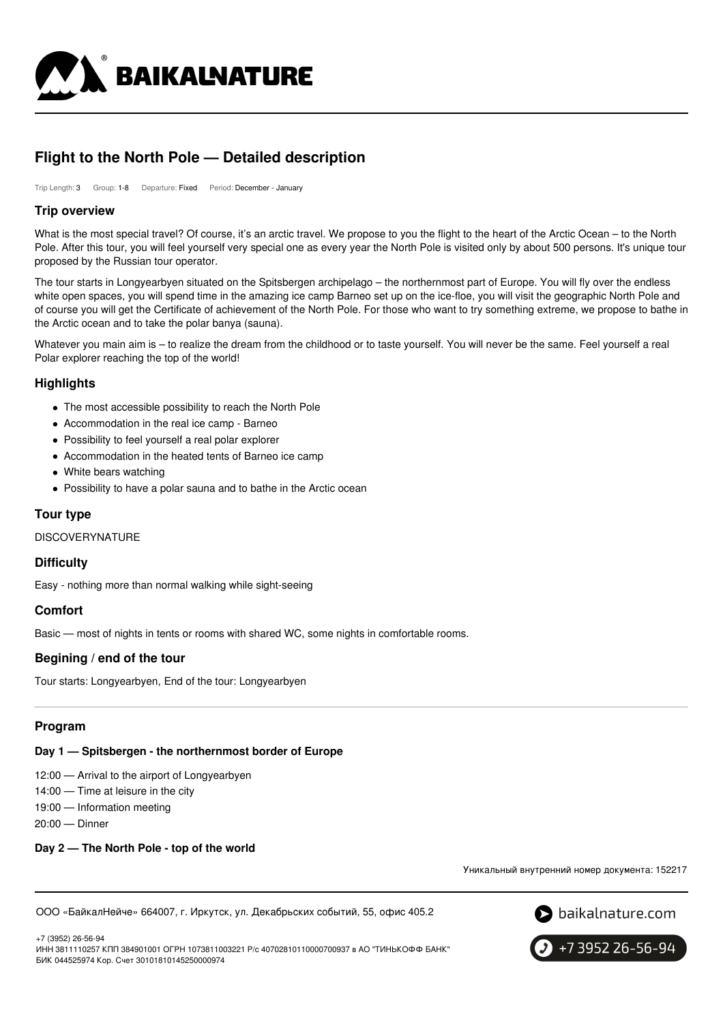

# **Flight to the North Pole — Detailed description**

Trip Length: 3 Group: 1-8 Departure: Fixed Period: December - January

#### **Trip overview**

What is the most special travel? Of course, it's an arctic travel. We propose to you the flight to the heart of the Arctic Ocean – to the North Pole. After this tour, you will feel yourself very special one as every year the North Pole is visited only by about 500 persons. It's unique tour proposed by the Russian tour operator.

The tour starts in Longyearbyen situated on the Spitsbergen archipelago – the northernmost part of Europe. You will fly over the endless white open spaces, you will spend time in the amazing ice camp Barneo set up on the ice-floe, you will visit the geographic North Pole and of course you will get the Certificate of achievement of the North Pole. For those who want to try something extreme, we propose to bathe in the Arctic ocean and to take the polar banya (sauna).

Whatever you main aim is – to realize the dream from the childhood or to taste yourself. You will never be the same. Feel yourself a real Polar explorer reaching the top of the world!

#### **Highlights**

- The most accessible possibility to reach the North Pole
- Accommodation in the real ice camp Barneo
- Possibility to feel yourself a real polar explorer
- Accommodation in the heated tents of Barneo ice camp
- White bears watching
- Possibility to have a polar sauna and to bathe in the Arctic ocean

#### **Tour type**

DISCOVERYNATURE

# **Difficulty**

Easy - nothing more than normal walking while sight-seeing

# **Comfort**

Basic — most of nights in tents or rooms with shared WC, some nights in comfortable rooms.

# **Begining / end of the tour**

Tour starts: Longyearbyen, End of the tour: Longyearbyen

# **Program**

# **Day 1 — Spitsbergen - the northernmost border of Europe**

12:00 — Arrival to the airport of Longyearbyen

14:00 — Time at leisure in the city

19:00 — Information meeting

20:00 — Dinner

+7 (3952) 26-56-94

# **Day 2 — The North Pole - top of the world**

Уникальный внутренний номер документа: 152217

ООО «БайкалНейче» 664007, г. Иркутск, ул. Декабрьских событий, 55, офис 405.2





ИНН 3811110257 КПП 384901001 ОГРН 1073811003221 Р/с 40702810110000700937 в АО "ТИНЬКОФФ БАНК" БИК 044525974 Кор. Счет 30101810145250000974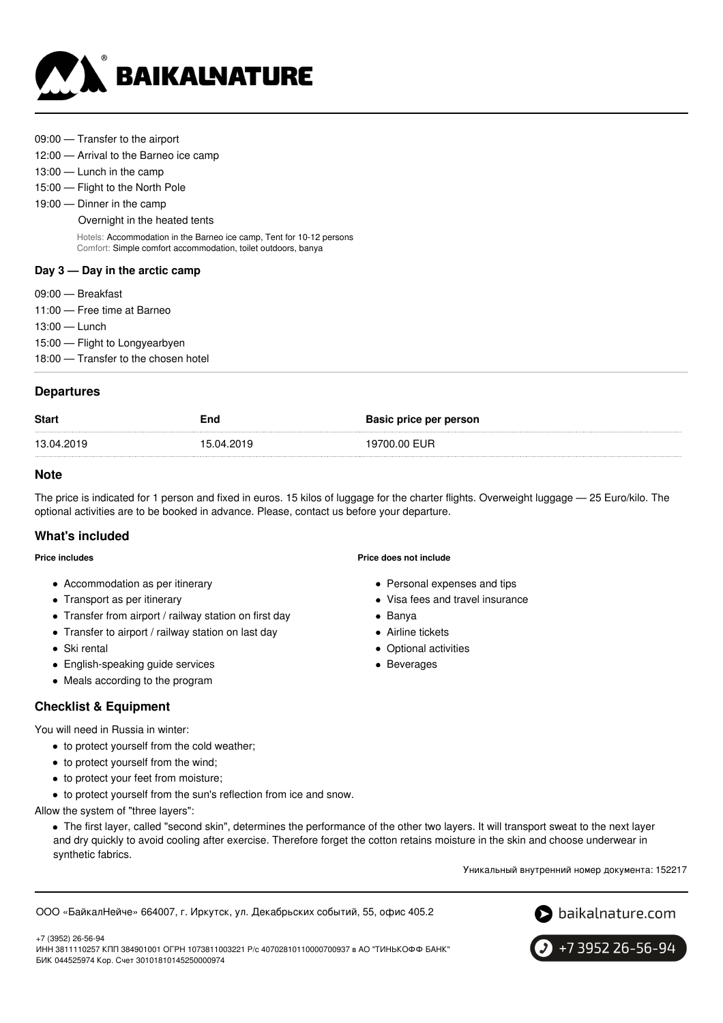

- 09:00 Transfer to the airport
- 12:00 Arrival to the Barneo ice camp
- 13:00 Lunch in the camp
- 15:00 Flight to the North Pole
- 19:00 Dinner in the camp

#### Overnight in the heated tents

Hotels: Accommodation in the Barneo ice camp, Tent for 10-12 persons Comfort: Simple comfort accommodation, toilet outdoors, banya

#### **Day 3 — Day in the arctic camp**

- 09:00 Breakfast
- 11:00 Free time at Barneo 13:00 — Lunch 15:00 — Flight to Longyearbyen 18:00 — Transfer to the chosen hotel

# **Departures**

| 13.04.2019<br>19700.00 EUR<br>15.04.2019 | <b>Start</b> | End | Basic price per person |
|------------------------------------------|--------------|-----|------------------------|
|                                          |              |     |                        |

# **Note**

The price is indicated for 1 person and fixed in euros. 15 kilos of luggage for the charter flights. Overweight luggage — 25 Euro/kilo. The optional activities are to be booked in advance. Please, contact us before your departure.

# **What's included**

#### **Price includes**

- Accommodation as per itinerary
- Transport as per itinerary
- Transfer from airport / railway station on first day
- Transfer to airport / railway station on last day
- Ski rental

+7 (3952) 26-56-94

- English-speaking guide services
- Meals according to the program

# **Checklist & Equipment**

You will need in Russia in winter:

- to protect yourself from the cold weather;
- to protect yourself from the wind;
- to protect your feet from moisture;
- to protect yourself from the sun's reflection from ice and snow.

Allow the system of "three layers":

The first layer, called "second skin", determines the performance of the other two layers. It will transport sweat to the next layer and dry quickly to avoid cooling after exercise. Therefore forget the cotton retains moisture in the skin and choose underwear in synthetic fabrics.

Уникальный внутренний номер документа: 152217

ООО «БайкалНейче» 664007, г. Иркутск, ул. Декабрьских событий, 55, офис 405.2





ИНН 3811110257 КПП 384901001 ОГРН 1073811003221 Р/с 40702810110000700937 в АО "ТИНЬКОФФ БАНК" БИК 044525974 Кор. Счет 30101810145250000974

#### **Price does not include**

- Personal expenses and tips
- Visa fees and travel insurance
- Banya
- Airline tickets
- Optional activities
- **•** Beverages